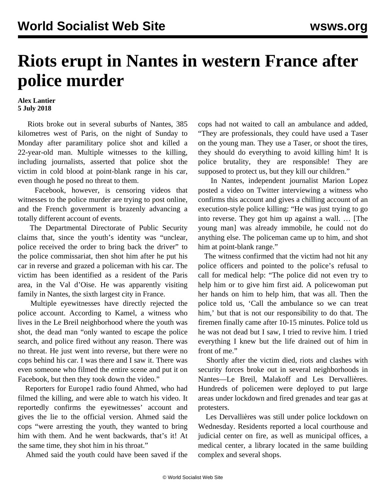## **Riots erupt in Nantes in western France after police murder**

## **Alex Lantier 5 July 2018**

 Riots broke out in several suburbs of Nantes, 385 kilometres west of Paris, on the night of Sunday to Monday after paramilitary police shot and killed a 22-year-old man. Multiple witnesses to the killing, including journalists, asserted that police shot the victim in cold blood at point-blank range in his car, even though he posed no threat to them.

 Facebook, however, is censoring videos that witnesses to the police murder are trying to post online, and the French government is brazenly advancing a totally different account of events.

 The Departmental Directorate of Public Security claims that, since the youth's identity was "unclear, police received the order to bring back the driver" to the police commissariat, then shot him after he put his car in reverse and grazed a policeman with his car. The victim has been identified as a resident of the Paris area, in the Val d'Oise. He was apparently visiting family in Nantes, the sixth largest city in France.

 Multiple eyewitnesses have directly rejected the police account. According to Kamel, a witness who lives in the Le Breil neighborhood where the youth was shot, the dead man "only wanted to escape the police search, and police fired without any reason. There was no threat. He just went into reverse, but there were no cops behind his car. I was there and I saw it. There was even someone who filmed the entire scene and put it on Facebook, but then they took down the video."

 Reporters for Europe1 radio found Ahmed, who had filmed the killing, and were able to watch his video. It reportedly confirms the eyewitnesses' account and gives the lie to the official version. Ahmed said the cops "were arresting the youth, they wanted to bring him with them. And he went backwards, that's it! At the same time, they shot him in his throat."

Ahmed said the youth could have been saved if the

cops had not waited to call an ambulance and added, "They are professionals, they could have used a Taser on the young man. They use a Taser, or shoot the tires, they should do everything to avoid killing him! It is police brutality, they are responsible! They are supposed to protect us, but they kill our children."

 In Nantes, independent journalist Marion Lopez posted a [video](https://twitter.com/MarionLpz/status/1014278354961358850) on Twitter interviewing a witness who confirms this account and gives a chilling account of an execution-style police killing: "He was just trying to go into reverse. They got him up against a wall. … [The young man] was already immobile, he could not do anything else. The policeman came up to him, and shot him at point-blank range."

 The witness confirmed that the victim had not hit any police officers and pointed to the police's refusal to call for medical help: "The police did not even try to help him or to give him first aid. A policewoman put her hands on him to help him, that was all. Then the police told us, 'Call the ambulance so we can treat him,' but that is not our responsibility to do that. The firemen finally came after 10-15 minutes. Police told us he was not dead but I saw, I tried to revive him. I tried everything I knew but the life drained out of him in front of me."

 Shortly after the victim died, riots and clashes with security forces broke out in several neighborhoods in Nantes—Le Breil, Malakoff and Les Dervallières. Hundreds of policemen were deployed to put large areas under lockdown and fired grenades and tear gas at protesters.

 Les Dervallières was still under police lockdown on Wednesday. Residents reported a local courthouse and judicial center on fire, as well as municipal offices, a medical center, a library located in the same building complex and several shops.